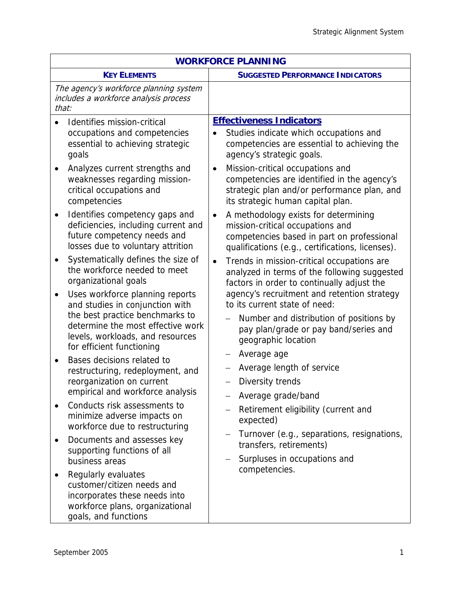| <b>WORKFORCE PLANNING</b>                                                                                                                                                                                                                                                                                                                                                                                                                                                                                                                                                                                                                                                                                                                                                                                                                                                                                                                                                                                                                                                                                                                    |                                                                                                                                                                                                                                                                                                                                                                                                                                                                                                                                                                                                                                                                                                                                                                                                                                                                                                                                                                                                                                                                                                                                                                                             |
|----------------------------------------------------------------------------------------------------------------------------------------------------------------------------------------------------------------------------------------------------------------------------------------------------------------------------------------------------------------------------------------------------------------------------------------------------------------------------------------------------------------------------------------------------------------------------------------------------------------------------------------------------------------------------------------------------------------------------------------------------------------------------------------------------------------------------------------------------------------------------------------------------------------------------------------------------------------------------------------------------------------------------------------------------------------------------------------------------------------------------------------------|---------------------------------------------------------------------------------------------------------------------------------------------------------------------------------------------------------------------------------------------------------------------------------------------------------------------------------------------------------------------------------------------------------------------------------------------------------------------------------------------------------------------------------------------------------------------------------------------------------------------------------------------------------------------------------------------------------------------------------------------------------------------------------------------------------------------------------------------------------------------------------------------------------------------------------------------------------------------------------------------------------------------------------------------------------------------------------------------------------------------------------------------------------------------------------------------|
| <b>KEY ELEMENTS</b>                                                                                                                                                                                                                                                                                                                                                                                                                                                                                                                                                                                                                                                                                                                                                                                                                                                                                                                                                                                                                                                                                                                          | <b>SUGGESTED PERFORMANCE INDICATORS</b>                                                                                                                                                                                                                                                                                                                                                                                                                                                                                                                                                                                                                                                                                                                                                                                                                                                                                                                                                                                                                                                                                                                                                     |
| The agency's workforce planning system<br>includes a workforce analysis process<br>that:                                                                                                                                                                                                                                                                                                                                                                                                                                                                                                                                                                                                                                                                                                                                                                                                                                                                                                                                                                                                                                                     |                                                                                                                                                                                                                                                                                                                                                                                                                                                                                                                                                                                                                                                                                                                                                                                                                                                                                                                                                                                                                                                                                                                                                                                             |
| Identifies mission-critical<br>occupations and competencies<br>essential to achieving strategic<br>goals<br>Analyzes current strengths and<br>$\bullet$<br>weaknesses regarding mission-<br>critical occupations and<br>competencies<br>Identifies competency gaps and<br>$\bullet$<br>deficiencies, including current and<br>future competency needs and<br>losses due to voluntary attrition<br>Systematically defines the size of<br>$\bullet$<br>the workforce needed to meet<br>organizational goals<br>Uses workforce planning reports<br>$\bullet$<br>and studies in conjunction with<br>the best practice benchmarks to<br>determine the most effective work<br>levels, workloads, and resources<br>for efficient functioning<br>Bases decisions related to<br>$\bullet$<br>restructuring, redeployment, and<br>reorganization on current<br>empirical and workforce analysis<br>Conducts risk assessments to<br>$\bullet$<br>minimize adverse impacts on<br>workforce due to restructuring<br>Documents and assesses key<br>٠<br>supporting functions of all<br>business areas<br>Regularly evaluates<br>customer/citizen needs and | <b>Effectiveness Indicators</b><br>Studies indicate which occupations and<br>competencies are essential to achieving the<br>agency's strategic goals.<br>Mission-critical occupations and<br>$\bullet$<br>competencies are identified in the agency's<br>strategic plan and/or performance plan, and<br>its strategic human capital plan.<br>A methodology exists for determining<br>$\bullet$<br>mission-critical occupations and<br>competencies based in part on professional<br>qualifications (e.g., certifications, licenses).<br>Trends in mission-critical occupations are<br>$\bullet$<br>analyzed in terms of the following suggested<br>factors in order to continually adjust the<br>agency's recruitment and retention strategy<br>to its current state of need:<br>Number and distribution of positions by<br>pay plan/grade or pay band/series and<br>geographic location<br>Average age<br>$\qquad \qquad -$<br>Average length of service<br>—<br>Diversity trends<br>—<br>Average grade/band<br>Retirement eligibility (current and<br>expected)<br>Turnover (e.g., separations, resignations,<br>transfers, retirements)<br>Surpluses in occupations and<br>competencies. |
| incorporates these needs into<br>workforce plans, organizational<br>goals, and functions                                                                                                                                                                                                                                                                                                                                                                                                                                                                                                                                                                                                                                                                                                                                                                                                                                                                                                                                                                                                                                                     |                                                                                                                                                                                                                                                                                                                                                                                                                                                                                                                                                                                                                                                                                                                                                                                                                                                                                                                                                                                                                                                                                                                                                                                             |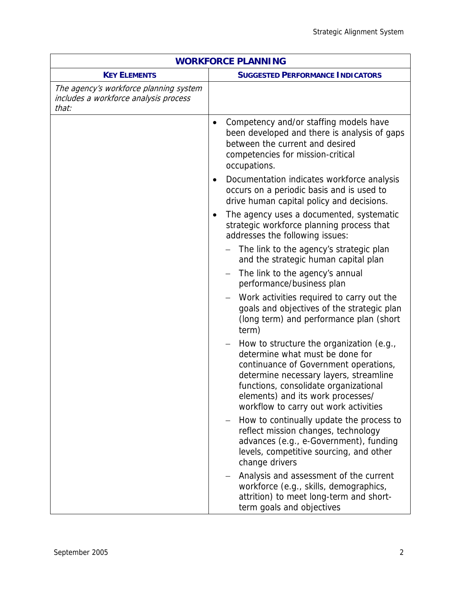|                                                                                          | <b>WORKFORCE PLANNING</b>                                                                                                                                                                                                                                                             |
|------------------------------------------------------------------------------------------|---------------------------------------------------------------------------------------------------------------------------------------------------------------------------------------------------------------------------------------------------------------------------------------|
| <b>KEY ELEMENTS</b>                                                                      | <b>SUGGESTED PERFORMANCE INDICATORS</b>                                                                                                                                                                                                                                               |
| The agency's workforce planning system<br>includes a workforce analysis process<br>that: |                                                                                                                                                                                                                                                                                       |
|                                                                                          | Competency and/or staffing models have<br>been developed and there is analysis of gaps<br>between the current and desired<br>competencies for mission-critical<br>occupations.                                                                                                        |
|                                                                                          | Documentation indicates workforce analysis<br>٠<br>occurs on a periodic basis and is used to<br>drive human capital policy and decisions.                                                                                                                                             |
|                                                                                          | The agency uses a documented, systematic<br>$\bullet$<br>strategic workforce planning process that<br>addresses the following issues:                                                                                                                                                 |
|                                                                                          | The link to the agency's strategic plan<br>and the strategic human capital plan                                                                                                                                                                                                       |
|                                                                                          | The link to the agency's annual<br>performance/business plan                                                                                                                                                                                                                          |
|                                                                                          | Work activities required to carry out the<br>$\overline{\phantom{m}}$<br>goals and objectives of the strategic plan<br>(long term) and performance plan (short<br>term)                                                                                                               |
|                                                                                          | How to structure the organization (e.g.,<br>determine what must be done for<br>continuance of Government operations,<br>determine necessary layers, streamline<br>functions, consolidate organizational<br>elements) and its work processes/<br>workflow to carry out work activities |
|                                                                                          | How to continually update the process to<br>reflect mission changes, technology<br>advances (e.g., e-Government), funding<br>levels, competitive sourcing, and other<br>change drivers                                                                                                |
|                                                                                          | Analysis and assessment of the current<br>workforce (e.g., skills, demographics,<br>attrition) to meet long-term and short-<br>term goals and objectives                                                                                                                              |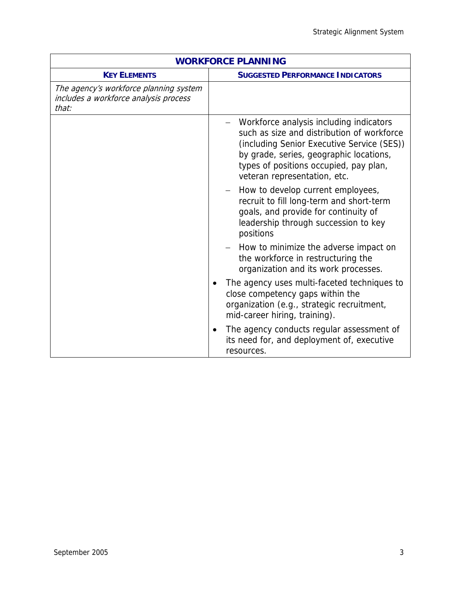| <b>WORKFORCE PLANNING</b>                                                                |                                                                                                                                                                                                                                                          |
|------------------------------------------------------------------------------------------|----------------------------------------------------------------------------------------------------------------------------------------------------------------------------------------------------------------------------------------------------------|
| <b>KEY ELEMENTS</b>                                                                      | <b>SUGGESTED PERFORMANCE INDICATORS</b>                                                                                                                                                                                                                  |
| The agency's workforce planning system<br>includes a workforce analysis process<br>that: |                                                                                                                                                                                                                                                          |
|                                                                                          | Workforce analysis including indicators<br>such as size and distribution of workforce<br>(including Senior Executive Service (SES))<br>by grade, series, geographic locations,<br>types of positions occupied, pay plan,<br>veteran representation, etc. |
|                                                                                          | How to develop current employees,<br>recruit to fill long-term and short-term<br>goals, and provide for continuity of<br>leadership through succession to key<br>positions                                                                               |
|                                                                                          | - How to minimize the adverse impact on<br>the workforce in restructuring the<br>organization and its work processes.                                                                                                                                    |
|                                                                                          | The agency uses multi-faceted techniques to<br>close competency gaps within the<br>organization (e.g., strategic recruitment,<br>mid-career hiring, training).                                                                                           |
|                                                                                          | The agency conducts regular assessment of<br>٠<br>its need for, and deployment of, executive<br>resources.                                                                                                                                               |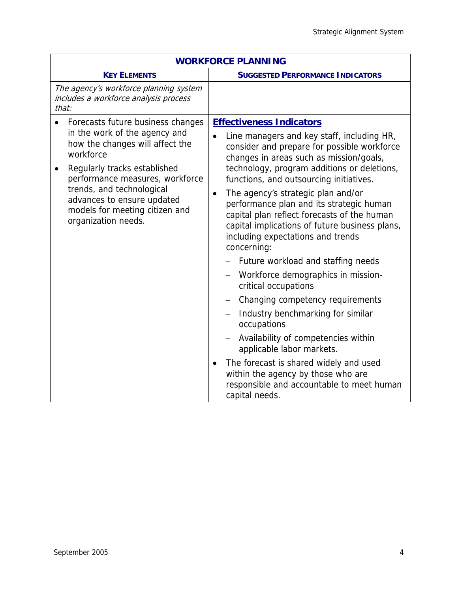|                                                                                                                                                                                                                                                                                                                        | <b>WORKFORCE PLANNING</b>                                                                                                                                                                                                                                                                                                                                                                                                                                                                                                                                                                         |
|------------------------------------------------------------------------------------------------------------------------------------------------------------------------------------------------------------------------------------------------------------------------------------------------------------------------|---------------------------------------------------------------------------------------------------------------------------------------------------------------------------------------------------------------------------------------------------------------------------------------------------------------------------------------------------------------------------------------------------------------------------------------------------------------------------------------------------------------------------------------------------------------------------------------------------|
| <b>KEY ELEMENTS</b>                                                                                                                                                                                                                                                                                                    | <b>SUGGESTED PERFORMANCE INDICATORS</b>                                                                                                                                                                                                                                                                                                                                                                                                                                                                                                                                                           |
| The agency's workforce planning system<br>includes a workforce analysis process<br>that:                                                                                                                                                                                                                               |                                                                                                                                                                                                                                                                                                                                                                                                                                                                                                                                                                                                   |
| Forecasts future business changes<br>in the work of the agency and<br>how the changes will affect the<br>workforce<br>Regularly tracks established<br>$\bullet$<br>performance measures, workforce<br>trends, and technological<br>advances to ensure updated<br>models for meeting citizen and<br>organization needs. | <b>Effectiveness Indicators</b><br>Line managers and key staff, including HR,<br>consider and prepare for possible workforce<br>changes in areas such as mission/goals,<br>technology, program additions or deletions,<br>functions, and outsourcing initiatives.<br>The agency's strategic plan and/or<br>$\bullet$<br>performance plan and its strategic human<br>capital plan reflect forecasts of the human<br>capital implications of future business plans,<br>including expectations and trends<br>concerning:<br>Future workload and staffing needs<br>Workforce demographics in mission- |
|                                                                                                                                                                                                                                                                                                                        | critical occupations<br>Changing competency requirements<br>Industry benchmarking for similar<br>occupations<br>Availability of competencies within<br>applicable labor markets.<br>The forecast is shared widely and used<br>within the agency by those who are<br>responsible and accountable to meet human<br>capital needs.                                                                                                                                                                                                                                                                   |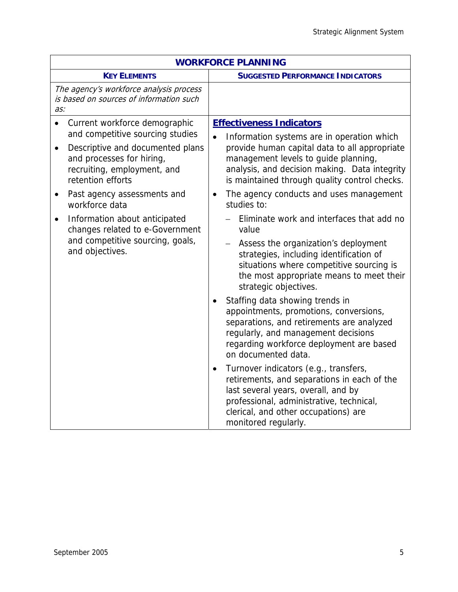| <b>WORKFORCE PLANNING</b>                                                                                                                                                                                                                                                      |                                                                                                                                                                                                                                                                                                                                                 |
|--------------------------------------------------------------------------------------------------------------------------------------------------------------------------------------------------------------------------------------------------------------------------------|-------------------------------------------------------------------------------------------------------------------------------------------------------------------------------------------------------------------------------------------------------------------------------------------------------------------------------------------------|
| <b>KEY ELEMENTS</b>                                                                                                                                                                                                                                                            | <b>SUGGESTED PERFORMANCE INDICATORS</b>                                                                                                                                                                                                                                                                                                         |
| The agency's workforce analysis process<br>is based on sources of information such<br>as:                                                                                                                                                                                      |                                                                                                                                                                                                                                                                                                                                                 |
| Current workforce demographic<br>$\bullet$<br>and competitive sourcing studies<br>Descriptive and documented plans<br>$\bullet$<br>and processes for hiring,<br>recruiting, employment, and<br>retention efforts<br>Past agency assessments and<br>$\bullet$<br>workforce data | <b>Effectiveness Indicators</b><br>Information systems are in operation which<br>$\bullet$<br>provide human capital data to all appropriate<br>management levels to guide planning,<br>analysis, and decision making. Data integrity<br>is maintained through quality control checks.<br>The agency conducts and uses management<br>studies to: |
| Information about anticipated<br>$\bullet$<br>changes related to e-Government<br>and competitive sourcing, goals,<br>and objectives.                                                                                                                                           | Eliminate work and interfaces that add no<br>value<br>Assess the organization's deployment<br>strategies, including identification of<br>situations where competitive sourcing is<br>the most appropriate means to meet their<br>strategic objectives.                                                                                          |
|                                                                                                                                                                                                                                                                                | Staffing data showing trends in<br>appointments, promotions, conversions,<br>separations, and retirements are analyzed<br>regularly, and management decisions<br>regarding workforce deployment are based<br>on documented data.                                                                                                                |
|                                                                                                                                                                                                                                                                                | Turnover indicators (e.g., transfers,<br>$\bullet$<br>retirements, and separations in each of the<br>last several years, overall, and by<br>professional, administrative, technical,<br>clerical, and other occupations) are<br>monitored regularly.                                                                                            |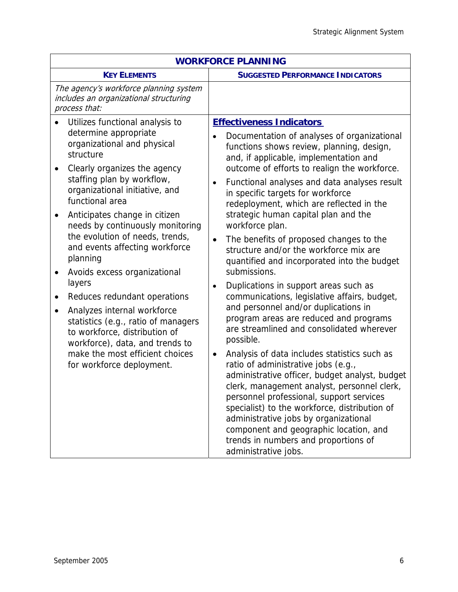| <b>WORKFORCE PLANNING</b>                                                                                                                                                                                                                                                                                                                                                                                                                                                                                                                                                                                                                                                                                                          |                                                                                                                                                                                                                                                                                                                                                                                                                                                                                                                                                                                                                                                                                                                                                                                                                                                                                                                                                                                                                                                                                                                                                                                                                                                                                                        |
|------------------------------------------------------------------------------------------------------------------------------------------------------------------------------------------------------------------------------------------------------------------------------------------------------------------------------------------------------------------------------------------------------------------------------------------------------------------------------------------------------------------------------------------------------------------------------------------------------------------------------------------------------------------------------------------------------------------------------------|--------------------------------------------------------------------------------------------------------------------------------------------------------------------------------------------------------------------------------------------------------------------------------------------------------------------------------------------------------------------------------------------------------------------------------------------------------------------------------------------------------------------------------------------------------------------------------------------------------------------------------------------------------------------------------------------------------------------------------------------------------------------------------------------------------------------------------------------------------------------------------------------------------------------------------------------------------------------------------------------------------------------------------------------------------------------------------------------------------------------------------------------------------------------------------------------------------------------------------------------------------------------------------------------------------|
| <b>KEY ELEMENTS</b>                                                                                                                                                                                                                                                                                                                                                                                                                                                                                                                                                                                                                                                                                                                | <b>SUGGESTED PERFORMANCE INDICATORS</b>                                                                                                                                                                                                                                                                                                                                                                                                                                                                                                                                                                                                                                                                                                                                                                                                                                                                                                                                                                                                                                                                                                                                                                                                                                                                |
| The agency's workforce planning system<br>includes an organizational structuring<br>process that:                                                                                                                                                                                                                                                                                                                                                                                                                                                                                                                                                                                                                                  |                                                                                                                                                                                                                                                                                                                                                                                                                                                                                                                                                                                                                                                                                                                                                                                                                                                                                                                                                                                                                                                                                                                                                                                                                                                                                                        |
| Utilizes functional analysis to<br>determine appropriate<br>organizational and physical<br>structure<br>Clearly organizes the agency<br>$\bullet$<br>staffing plan by workflow,<br>organizational initiative, and<br>functional area<br>Anticipates change in citizen<br>$\bullet$<br>needs by continuously monitoring<br>the evolution of needs, trends,<br>and events affecting workforce<br>planning<br>Avoids excess organizational<br>$\bullet$<br>layers<br>Reduces redundant operations<br>$\bullet$<br>Analyzes internal workforce<br>$\bullet$<br>statistics (e.g., ratio of managers<br>to workforce, distribution of<br>workforce), data, and trends to<br>make the most efficient choices<br>for workforce deployment. | <b>Effectiveness Indicators</b><br>Documentation of analyses of organizational<br>functions shows review, planning, design,<br>and, if applicable, implementation and<br>outcome of efforts to realign the workforce.<br>Functional analyses and data analyses result<br>$\bullet$<br>in specific targets for workforce<br>redeployment, which are reflected in the<br>strategic human capital plan and the<br>workforce plan.<br>The benefits of proposed changes to the<br>$\bullet$<br>structure and/or the workforce mix are<br>quantified and incorporated into the budget<br>submissions.<br>Duplications in support areas such as<br>$\bullet$<br>communications, legislative affairs, budget,<br>and personnel and/or duplications in<br>program areas are reduced and programs<br>are streamlined and consolidated wherever<br>possible.<br>Analysis of data includes statistics such as<br>$\bullet$<br>ratio of administrative jobs (e.g.,<br>administrative officer, budget analyst, budget<br>clerk, management analyst, personnel clerk,<br>personnel professional, support services<br>specialist) to the workforce, distribution of<br>administrative jobs by organizational<br>component and geographic location, and<br>trends in numbers and proportions of<br>administrative jobs. |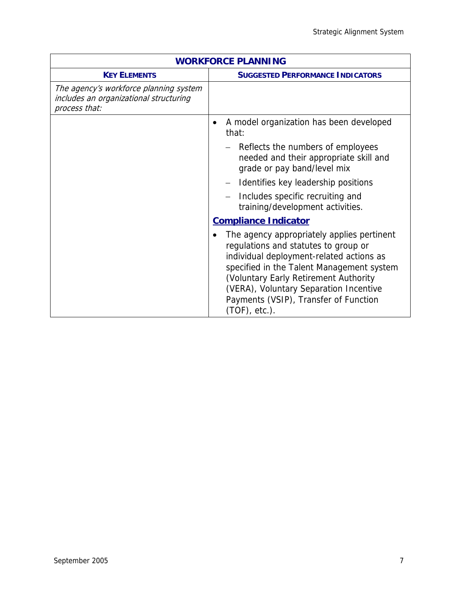| <b>WORKFORCE PLANNING</b>                                                                         |                                                                                                                                                                                                                                                                                                                             |
|---------------------------------------------------------------------------------------------------|-----------------------------------------------------------------------------------------------------------------------------------------------------------------------------------------------------------------------------------------------------------------------------------------------------------------------------|
| <b>KEY ELEMENTS</b>                                                                               | <b>SUGGESTED PERFORMANCE INDICATORS</b>                                                                                                                                                                                                                                                                                     |
| The agency's workforce planning system<br>includes an organizational structuring<br>process that: |                                                                                                                                                                                                                                                                                                                             |
|                                                                                                   | A model organization has been developed<br>that:                                                                                                                                                                                                                                                                            |
|                                                                                                   | Reflects the numbers of employees<br>needed and their appropriate skill and<br>grade or pay band/level mix                                                                                                                                                                                                                  |
|                                                                                                   | Identifies key leadership positions                                                                                                                                                                                                                                                                                         |
|                                                                                                   | Includes specific recruiting and<br>training/development activities.                                                                                                                                                                                                                                                        |
|                                                                                                   | <b>Compliance Indicator</b>                                                                                                                                                                                                                                                                                                 |
|                                                                                                   | The agency appropriately applies pertinent<br>regulations and statutes to group or<br>individual deployment-related actions as<br>specified in the Talent Management system<br>(Voluntary Early Retirement Authority<br>(VERA), Voluntary Separation Incentive<br>Payments (VSIP), Transfer of Function<br>$(TOF)$ , etc.). |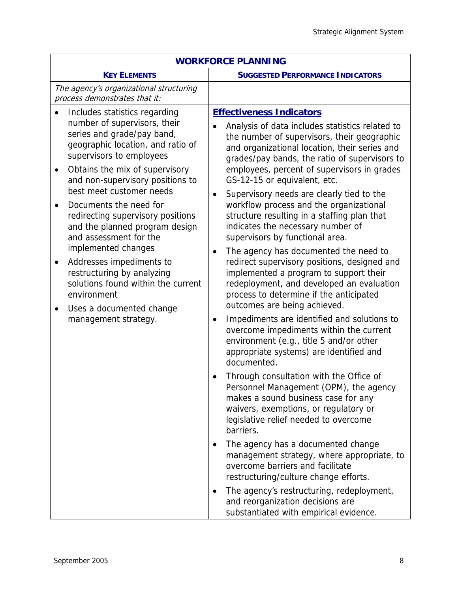| <b>WORKFORCE PLANNING</b>                                                                                                                                                                                                                                                                                                                                                                                                                                                                                                                                                                                                                            |                                                                                                                                                                                                                                                                                                                                                                                                                                                                                                                                                                                                                                                                                        |
|------------------------------------------------------------------------------------------------------------------------------------------------------------------------------------------------------------------------------------------------------------------------------------------------------------------------------------------------------------------------------------------------------------------------------------------------------------------------------------------------------------------------------------------------------------------------------------------------------------------------------------------------------|----------------------------------------------------------------------------------------------------------------------------------------------------------------------------------------------------------------------------------------------------------------------------------------------------------------------------------------------------------------------------------------------------------------------------------------------------------------------------------------------------------------------------------------------------------------------------------------------------------------------------------------------------------------------------------------|
| <b>KEY ELEMENTS</b>                                                                                                                                                                                                                                                                                                                                                                                                                                                                                                                                                                                                                                  | <b>SUGGESTED PERFORMANCE INDICATORS</b>                                                                                                                                                                                                                                                                                                                                                                                                                                                                                                                                                                                                                                                |
| The agency's organizational structuring<br>process demonstrates that it:                                                                                                                                                                                                                                                                                                                                                                                                                                                                                                                                                                             |                                                                                                                                                                                                                                                                                                                                                                                                                                                                                                                                                                                                                                                                                        |
| Includes statistics regarding<br>$\bullet$<br>number of supervisors, their<br>series and grade/pay band,<br>geographic location, and ratio of<br>supervisors to employees<br>Obtains the mix of supervisory<br>$\bullet$<br>and non-supervisory positions to<br>best meet customer needs<br>Documents the need for<br>$\bullet$<br>redirecting supervisory positions<br>and the planned program design<br>and assessment for the<br>implemented changes<br>Addresses impediments to<br>$\bullet$<br>restructuring by analyzing<br>solutions found within the current<br>environment<br>Uses a documented change<br>$\bullet$<br>management strategy. | <b>Effectiveness Indicators</b><br>Analysis of data includes statistics related to<br>the number of supervisors, their geographic<br>and organizational location, their series and<br>grades/pay bands, the ratio of supervisors to<br>employees, percent of supervisors in grades<br>GS-12-15 or equivalent, etc.<br>Supervisory needs are clearly tied to the<br>$\bullet$<br>workflow process and the organizational<br>structure resulting in a staffing plan that<br>indicates the necessary number of<br>supervisors by functional area.<br>The agency has documented the need to<br>٠<br>redirect supervisory positions, designed and<br>implemented a program to support their |
|                                                                                                                                                                                                                                                                                                                                                                                                                                                                                                                                                                                                                                                      | redeployment, and developed an evaluation<br>process to determine if the anticipated<br>outcomes are being achieved.<br>Impediments are identified and solutions to<br>$\bullet$<br>overcome impediments within the current<br>environment (e.g., title 5 and/or other<br>appropriate systems) are identified and<br>documented.                                                                                                                                                                                                                                                                                                                                                       |
|                                                                                                                                                                                                                                                                                                                                                                                                                                                                                                                                                                                                                                                      | Through consultation with the Office of<br>Personnel Management (OPM), the agency<br>makes a sound business case for any<br>waivers, exemptions, or regulatory or<br>legislative relief needed to overcome<br>barriers.                                                                                                                                                                                                                                                                                                                                                                                                                                                                |
|                                                                                                                                                                                                                                                                                                                                                                                                                                                                                                                                                                                                                                                      | The agency has a documented change<br>management strategy, where appropriate, to<br>overcome barriers and facilitate<br>restructuring/culture change efforts.                                                                                                                                                                                                                                                                                                                                                                                                                                                                                                                          |
|                                                                                                                                                                                                                                                                                                                                                                                                                                                                                                                                                                                                                                                      | The agency's restructuring, redeployment,<br>٠<br>and reorganization decisions are<br>substantiated with empirical evidence.                                                                                                                                                                                                                                                                                                                                                                                                                                                                                                                                                           |